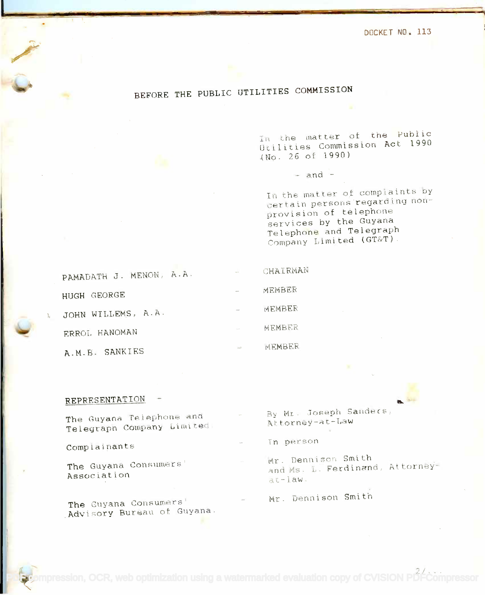DOCKET NO. 113

## BEFORE THE PUBLIC UTILITIES COMMISSION BEFORE THE PUBLIC UTILITIES COMMISSION

In the matter of the Public Utilities Commission Act 1990 Uciiities Cornmission Act 1990 (No. 26 of 1990) **( t-J c).** <sup>2</sup> <sup>n</sup> 0 f 1.9 <sup>9</sup> <sup>0</sup> )

 $-$  and  $-$ 

In the matter of complaints by certain persons regarding nonprovision of telephone provision of telephone services by the Guyana services by the Guyana Telephone and Telegraph Company Limited (GT&T).

| PAMADATH J. MENON, A.A. | $\frac{1}{2}$ | CHAIRMAN |
|-------------------------|---------------|----------|
| HUGH GEORGE             |               | MEMBER   |
| JOHN WILLEMS, A.A.      |               | MEMBER   |
| ERROL HANOMAN           |               | MEMBER   |
| A.M.B. SANKIES          | $\sim$        | MEMBER   |

## REPRESENTATION

Ine Guyana (croposition)<br>Telegraph Company Limited.<br>Telegraph Company Limited.

Complainants

The Guyana Consumers' Association

The Guyana Consumers' The Guyana Consumers' Advisory Bureau of Guyana.

The Guyana Telephone and ... . By Mr. Joseph Sanders, ... . .....................<br>Attorney-at-Law By Mr. Joseph Sandecs, Attorney-at-Law

in person

Mr. Dennison Smith and Ms. L. Ferdinand, Attorney $ac - 1$ aw.

Mr. Dennison Smith

**[PDF compression, OCR, web optimization using a watermarked evaluation copy of CVISION PDFCompressor](http://www.cvisiontech.com)**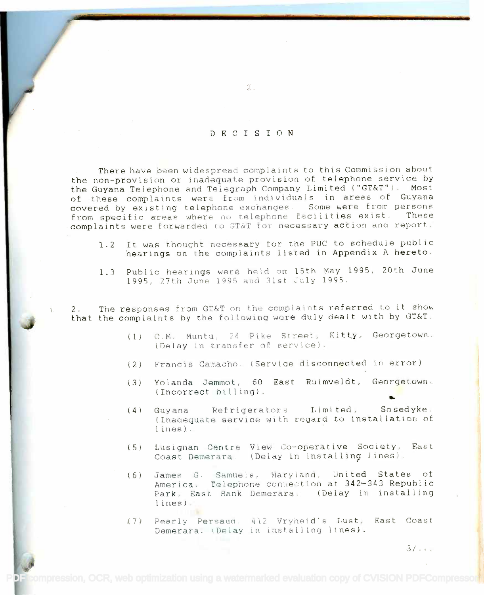## DECISION

 $\mathcal{Z}$ .

There have been widespread complaints to this Commission about the non-provision or inadequate provision of telephone service by the non-provision or inadequate provision of telephone service by the Guyana Telephone and Telegraph Company Limited ("GT&T"). Most of these complaints were from individuals in areas of Guyana of these complaints were from individuals in areas of Guyana covered by existing telephone exchanges. Some were from persons from specific areas where no telephone facilities exist. These complaints were forwarded to GT&T for necessary action and report.. complaints were torwarded to GT&I for necessary action and report.

- 1.2 It was thought necessary for the PUC to schedule public 1.2 It was thought necessary for the PUC to schedule public hearings on the complaints listed in Appendix A hereto. hearings on the complaints listed in AppendiX A hereto.
- 1.3 Public hearings were held on 15th May 1995, 20th June 1995, 27th June 1995 and 31st July 1995.

2. The responses from GT&T on the complaints referred to it show 2. The responses from GT&T on the complaints referred to it show that the complaints by the following were duly dealt with by GT&T.

- (1) C.M. Muntu, 24 Pike Street, Kitty, Georgetown. (Delay in transfer of service).
- (2) Francis Camacho. (Service disconnected in error)
- (3) Yolanda Jemmot, 60 East Ruimveldt, Georgetown. (3) Yolanda Jemmot, 60 East Ruimveldt, Georgetown. (Incorrect billing). (Incorrect billing).
- (4) Guyana Refrigerators Limited, Sosedyke. (4) Guyana Refrigerators Limited, Sosedyke. (Inadequate service with regard to installation of (lnaasquat\_ se VIce with regard to installation at lines).. lines) .
- (5) Lusignan Centre View Co-operative Society, East Coast Demerara. (Delay in installing lines).
- (6) James G. Samuels, Maryland, United States of America. Telephone connection at 342-343 Republic America. Telephone connection at 342'-343 Republic Park, East Bank Demerara. (Delay in installing and  $\begin{array}{ccc} \end{array}$ lines). lines).
- (7) Pearly Persaud. 412 Vryheid's Lust, East Coast Demerara. (Delay in installing lines).

[PDF compression, OCR, web optimization using a watermarked evaluation copy of CVISION PDFCompressor](http://www.cvisiontech.com)t

 $3/\sqrt{3}$ 

eh.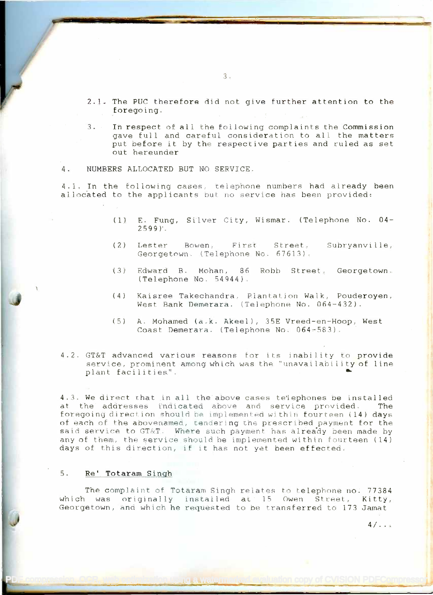- 2.1. The PUC therefore did not give further attention to the 2.1. The PUC therefore did not give further attention to the foregoing. foregoing.
- 3. In respect of all the following complaints the Commission 3. In respect. of all the following complaints the Commission gave full and careful consideration to all the matters gave full and careful consideration to all the matters put before it by the respective parties and ruled as set out hereunder out hereunder
- 4. NUMBERS ALLOCATED BUT NO SERVICE.

4.1. In the following cases, telephone numbers had already been **the set of the set of the set of the set of the set of the set of the set of the set of the set of the set of the set of the set of the set of the set of the** allocated to the applicants but no service has been provided:

- (1) E. Fung, Silver City, Wismar. (Telephone No. 04-2599)'. 2.599)'.
- (2) Lester Bowen, First Street, Subryanville, Georgetown. (Telephone No. 67613). Bowen, St.reet,
- (3) Edward B. Mohan, 86 Robb Street, Georgetown Edward B. Mohan, 86 Robb street, (Telephone No. 54944). (Telephone No . .54944).
- **J** (4) Kaisree Takechandra, Plantation Walk, Pouderoyen, West Bank Demerara. (Telephone No. 064-432). Hest Bank Demerara. (Telephonp. No. Ofi4-432).
	- (5) A. Mohamed (a.k. Akeel), 35E Vreed-en-Hoop, West A. Mohamed (a.k. Akeel), 35E Vreed-en-Hoop, Hest Coast Demerara. (Telephone No. 064-583). Coast Demerara. (Telephone No. 064-S83).
	- 4.2. GT&T advanced various reasons for its inability to provide  $\mathbb{R}^{\frac{1}{2}}$ service, prominent among which was the "unavailability of line service, prominent among which was the "unavailabilityof line plant facilities". plant facilities". ••.

4.3. We direct that in all the above cases telephones be installed at the addresses indicated above and service provided. The foregoing direction should be implemented within fourteen (14) days  $\frac{1}{2}$ of each of the abovenamed, tendering the prescribed payment for the  $\|\cdot\|$ said service to GT&T. Where such payment has already been made by any of them, the service should be implemented within fourteen (14) days of this direction, if it has not yet been effected.

## 5. Re' Totaram Singh

September 2008

The complaint of Totaram Singh relates to telephone no. 77384 The complaint of Totaram Singh relates to telephnne no. 77384 which was originally installed at 15 Owen Street, Kitty,  $\begin{bmatrix} \frac{1}{2} & \frac{1}{2} & \frac{1}{2} & \frac{1}{2} & \frac{1}{2} & \frac{1}{2} & \frac{1}{2} & \frac{1}{2} & \frac{1}{2} & \frac{1}{2} & \frac{1}{2} & \frac{1}{2} & \frac{1}{2} & \frac{1}{2} & \frac{1}{2} & \frac{1}{2} & \frac{1}{2} & \frac{1}{2} & \frac{1}{2} & \frac{1}{$ Georgetown, and which he requested to be transferred to 173 Jamat Georgetown, and which he requested to be transferred to 173 Jamat

[PDF compression, OCR, web optimization using a watermarked evaluation copy of CVISION PDFCompressor](http://www.cvisiontech.com)

 $4/\sqrt{2}$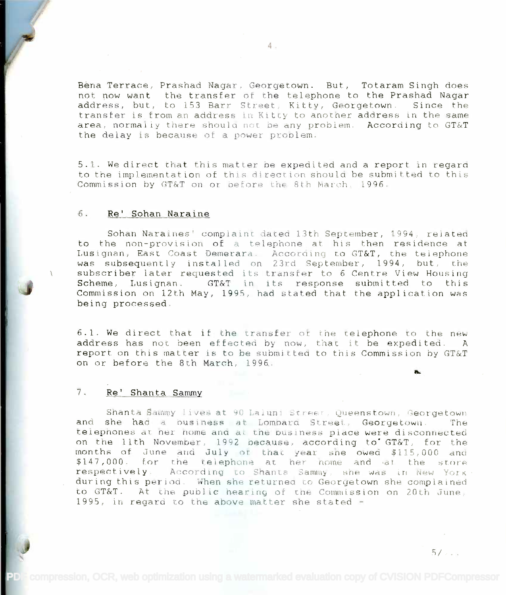Bena Terrace, Prashad Nagar, Georgetown. But, Totaram Singh does Bena Terrace, Prashad Nagar, Georgetown. But, Totaram Singh does not now want the transfer of the telephone to the Prashad Nagar not now want the transfer at the telephone to the Prashad Nagar address, but, to 153 Barr. Street, Kitty, Georgetown. Since the address, but, to 153 Barr Street, Kitty, Georgetown. Since the transfer is from an address in Kitty to another address in the same area, normally there should not be any problem. According to GT&T the delay is because of a power problem. the delay is because of a power problem.

5.1. We direct that this matter be expedited and a report in regard 5.1. We direct that this matter be expedited and a report in regard to the implementation of this direction should be submitted to this co the implementation of this direction should be submitted to

#### 6. Re' Sohan Naraine

Sohan Naraines' complaint dated 13th September, 1994, related Sahan Naraines' complainr dated 13th September, 1994. reidt.ed to the non-provision of a telephone at his then residence at Lusignan, East Coast Demerara. According to GT&T, the telephone was subsequently installed on 23rd September, 1994, but, the subscriber later requested its transfer to 6 Centre View Housing subscriber later requested its transfer to 6 Centre View Housing Scheme, Lusignan. GT&T in its response submitted to this Scheme, Lusignan. GT&T in its responsesubmitted to this Commission on 12th May, 1995, had stated that the application was Commission on 12th May, 1995, had stated that the application was being processed. being processed.

6.1. We direct that if the transfer of the telephone to the new address has not been effected by now, that it be expedited. A report on this matter is to be submitted to this Commission by GT&T report on this matter is to be submitted to this Commission by GT&T on or before the 8th March, 1996. on or before the 8th March, 1996.

### 7. Re' Shanta Sammy

Shanta Sammy lives at 90 Laluni Street, Queenstown, Georgetown and she had a business at Lombard Street, Georgetown. The telephones at her home and at the business place were disconnected on the 11th November, 1992 because, according to GT&T, for the on the lith Novembel, 1992 oecause, according **to'** GT&T, for the months of June and July of that year she owed \$115,000 and \$147,000. for the telephone at her home and at the store  $r$ espectively. According to Shanta Sammy, she was in New York. during this period. When she returnea to Georgetown she complained to GT&T. At the public hearing of the Commission on 20th June, 1995, in regard to the above matter she stated -

 $5/2...$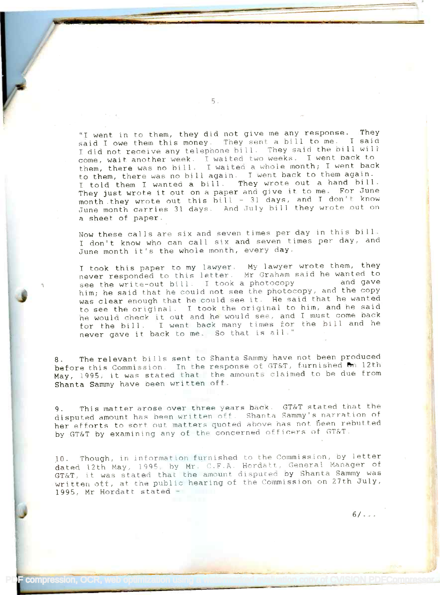"I went in to them, they did not give me any response. They "I went in to them, they did not give me any response. They said I owe them this money. They sent a bill to me. I said said I owe them this money. They sent <sup>a</sup> bill to me. I said I did not receive any telephone bill. They said the bill will come, wait another week. I waited two weeks. I went hack to come, wait another week. T waited twO weeks. I went back to them, there was no bill. I waited a whole month; I went back them, there was no bill. I waited <sup>a</sup> whole month; I went back to them, there was no bill again. I went back to them again. to them, there was no bi <sup>11</sup> again. I went back to them again. I told them I wanted a bill. They wrote out a hand bill. I told them I wanted <sup>a</sup> bill. They wrote out <sup>a</sup> hand bill. They just wrote it out on a paper and give it to me. For June They just wrote it out on a paper and give it to me. For June month .they wrote out this bill - <sup>31</sup> days, and I don't know month.they wrote out this bill - 31 days, and I don't know June month carries 31 days. And July bill they wrote out on a sheet of paper. a sheet of paper.

Now these calls are six and seven times per day in this bill. I don't know who can call six and seven times per day, and I don't know who can call six and seven times per day, and June month it's the whole month, every day. June month it's the whole month, every day.

I took this paper to my lawyer. My lawyer wrote them, they never responded to this letter. Mr Graham said he wanted to never responded to this letter. Mr Graham said he wanted to never responded to this recter. In ordinant part, is halved and gave<br>see the write-out bill. I took a photocopy and gave him; he said that he could not see the photocopy, and the copy him; he said that he could not see the photocopy, and the copy was clear enough that he could see it. He said that he wanted was clear enough that he could see it. He said that he wanted was clear enough that he could see it. The said that he had he said he would check it out and he would see, and I must come back he would check it out and he would see, and I must come back he would check it out and he would see, and I make other back never gave it back to me. So that is all." never gave it back to me. So that is all."

8. The relevant bills sent to Shanta Sammy have not been produced before this Commission. In the response of GT&T, furnished on 12th May, 1995, it was stated that the amounts claimed to be due from May, 1995, it. was stated that the amounts claimed to be due from Shanta Sammy have been written off. Shanta Sammy have been written off.

9. This matter arose over three years back. GT&T stated that the disputed amount has been written off. Shanta Sammy's narration of her efforts to sort out matters quoted above has not been rebutted by GT&T by examining any of the concerned officers of GT&T.

10. Though, in information furnished to the Commission, by letter dated 12th May, 1995, by Mr. C.F.A. Hordatt, General Manager of GT&T, it was stated that the amount disputed by Shanta Sammy was written off, at the public hearing of the Commission on 27th July, written oft, at the public hearing ot the Commission on 27th July, 1995, Mr Hordatt stated - 1995, Mr Hordatt stated -

**PF compression, OCR** 

 $6/1$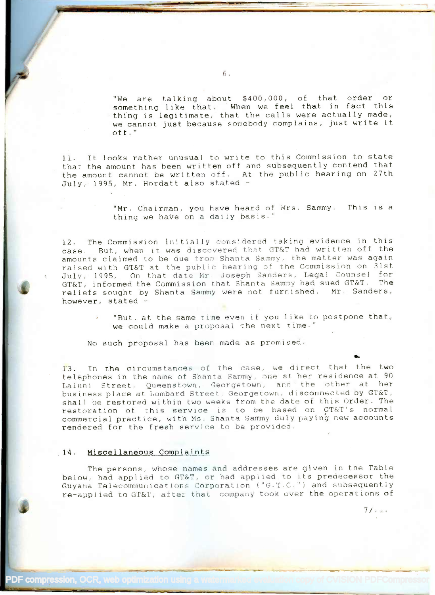"We are talking about \$400,000, of that order or something like that. When we feel that in fact this thing is legitimate, that the calls were actually made, thing is legitimate, that the calls were actually made, we cannot just because somebody complains, just write it we cannot just because somebody complains, just write it off." off."

11. It looks rather unusual to write to this Commission to state 11. It looks rather unusual to write to this Commission to state that the amount has been written off and subsequently contend that that the amount has been written off and subsequently contend that the amount cannot be written off. At the public hearing on 27th the amount cannot be written off. At the public hearing on 27th July, 1995, Mr. Hordatt also stated July, 1995, Mr. Hordatt also stated -

> "Mr. Chairman, you have heard of Mrs. Sammy. This is a "Mr. Chairman, you have heard of Mrs. Sammy. thing we haVe on a daily basis." thing we have on a daily basis."

12. The Commission initially considered taking evidence in this case. But, when it was discovered that GT&T had written off the amounts claimed to be que from Shanta Sammy, the matter was again raised with GT&T at the public hearing of the Commission on 31st raised with GT&T at the public hearing of tne Commission on 31st. July, 1995. On that date Mr. Joseph Sanders, Legal Counsel for GT&T, informed the Commission that Shanta Sammy had sued GT&T. The reliefs sought by Shanta Sammy were not furnished. Mr. Sanders, however, stated -

"But, at the same time even if you like to postpone that, where  $\mathbf{r}$ we could make a proposal the next time." we could make a proposal the next. time."

No such proposal has been made as promised.

13. In the circumstances of the case, we direct that the two telephones in the name of Shanta Sammy, one at her residence at 90 Laluni Street, Queenstown, Georgetown, and the other at her business place at Lombard Street, Georgetown, disconnected by GT&T, while the connected by  $\sigma$ shall be restored within two weeks from the date of this Order. The restoration of this service is to be based on GT&T's normal commercial practice, with Ms. Shanta Sammy duly paying new accounts rendered for the fresh service to be provided.

### ,14. Miscellaneous Complaints

The persons, whose names and addresses are given in the Table The persons, whose names and addresses are given in the Table below, had applied to GT&T, or had applied to its predecessor the Guyana Telecommunications Corporation ("G.T.C.") and subsequently re-applied to GT&T, after that company took over the operations of

 $7/.\, .$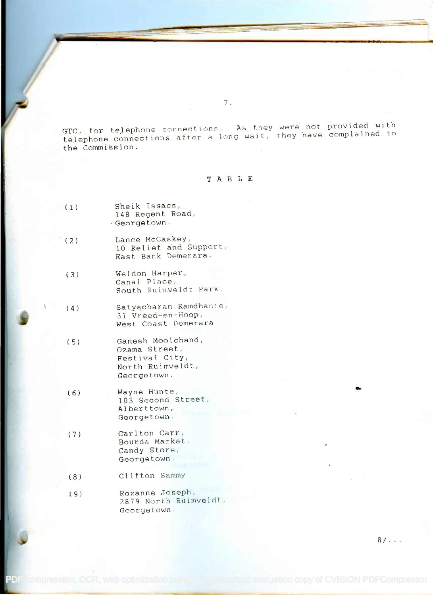GTC, for telephone connections. As they were not provided with GTC, for te,lephone connections. As they were not provided with telephone connections after a long wait, they have complained to telephone connections after a long wait, they have complained to the CommiSsion. the Commission.

## TABLE

- (1) Sheik Issacs, (1) Sheik Issacs, 148 Regent Road, 148 Regent Road, -Georgetown. -Georgetown.
- (2) Lance McCaskey, (2) Lance McCaskey, 10 Relief and Support, East Bank Demerara. East Bank Demerara.
- (3) Weldon Harper, (3) Weldon Harper, Canal Place, Canal Place, South Ruimveldt Park.
- (4) Satyacharan Ramdhanie, (4) Satyacharan Ramdhanie, 31 Vreed-en-Hoop, 31 Vreed-en-Hoop, West Coast Demerara West Coast Demerara
- (5) Ganesh Moolchand, (5) Ganesh Moolchand, Ozama Street, Ozama Street, Festival City, Festival City, North Ruimveldt, North Ruimveldt, Georgetown. Georgetown.
- (6) Wayne Hunte, Wayne Hunte, 103 Second Street, 103 Second Street, Alberttown, Alberttown, Georgetown. Georgetown.
- (7) Carlton Carr, Carlton Carr, Bourda Market, Bourda Market, Candy Store, Candy Store, Georgetown. Georgetown.
- (8) Clifton Sammy
- (9) Roxanne Joseph, Roxanne Joseph, 2879 North Ruimveldt, Georgetown. Georgetown.

 $8/...$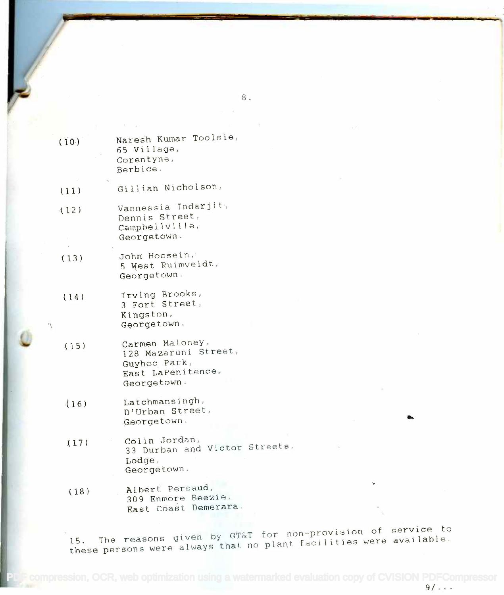| (10) | Naresh Kumar Toolsie,<br>65 Village,<br>Corentyne,<br>Berbice.                              |
|------|---------------------------------------------------------------------------------------------|
| (11) | Gillian Nicholson,                                                                          |
| (12) | Vannessia Indarjit,<br>Dennis Street,<br>Campbellville,<br>Georgetown.                      |
| (13) | John Hoosein,<br>5 West Ruimveldt.<br>Georgetown.                                           |
| (14) | Irving Brooks,<br>3 Fort Street,<br>Kingston,<br>Georgetown.                                |
| (15) | Carmen Maloney,<br>128 Mazaruni Street,<br>Guyhoc Park,<br>East LaPenitence.<br>Georgetown. |
| (16) | Latchmansingh,<br>D'Urban Street,<br>Georgetown.                                            |
|      | a tiu Tavaon                                                                                |

- (17) Colin Jordan, 33 Durban and Victor Streets, 33 Durban and Victor streets, Lodge, Lodge, Georgetown. Georgetown. **(17)** Colin Jordan,
- (18) Albert Persaud, (18) Albert Persaud, 309 Enmore Beezie, 309 Enmore Beezie, East Coast Demerara. East Coast Demerara.

15. The reasons given by GT&T for non-provision of service to<br>15. The reasons given by GT&T for plant facilities were available. these persons were always that no plant facilities were available. these persons were always that no plant faci lities werp available.

9/ . . .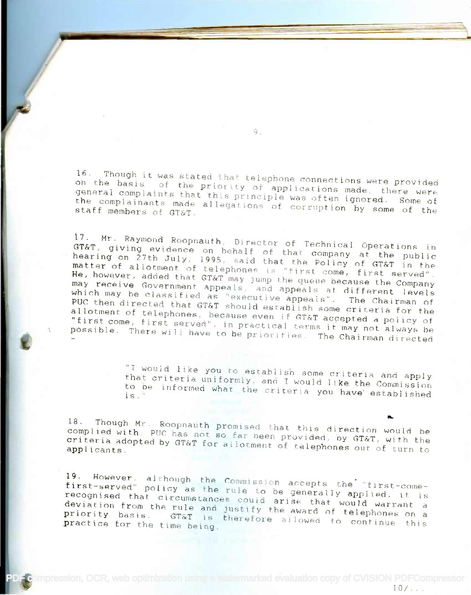16. Though it was stated that telephone connections were provided<br>on the basis of the priority of applications made, there uses general complaints that this principle was often ignored, there were<br>the complainants made allegations of corruption by some of the the complainants made allegations of corruption by some of the<br>staff members of GT&T. on the basis of the priority of applications made, there were yeneral complaints that this principle was often ignored. Some of staff members of GT&T.

9.

<sup>17.</sup> Mr. Raymond Roopnauth, Director of Technical Operations in<br>GT&T, giving evidence on behalf of the connical Operations in GT&T, giving evidence on behalf of that company at the public<br>hearing on 27th July, 1995, said that the Polisy of The public matter of allotment of telephones is "first come, first served".<br>He, however, added that GT&T may jump the OUCUO because it served". nearing on 27th July, 1995, said that the Policy of GT&T in the may receive Government appeals, and appeals at different love ne, however, added that GT&T may jump the queue because the Company<br>may receive Government appeals and annual may receive Government appeals, and appeals at different levels<br>which may be classified as "executive appeals". The Chairman of PUC then directed that GT&T should establish some criteria for the allotment of telephones, because even if GT&T accepted a policy of "first come, first served", in practical terms it may not always be<br>"first come, first served", in practical terms it may not always be<br>possible. There will have to be priorities. The Chairman directed III st come, first served", in practical terms it may not always be possible. There will have to be priorities. The Chairman directed

> "I would like you to establish some criteria and apply<br>that criteria uniformly, and I would like the Commission<br>to be informed what the criteria you have established<br>is." "I would like you to establish some criteria and apply that criteria uniformly, and I would like the Commission to be informed what the criteria you have established

18. Though Mr. Roopnauth promised that this direction would be<br>complied with, PUC has not so far been provided, by GT&T, with the criteria adopted by GT&T for allotment of tolon and GT&T, with the Criteria adopted by GT&T for allotment of telephones out of turn to complied with, PUC has not so far been provided, by GT&T, with the

19. However, although the Commission accepts the "tirates first-served" policy as the Commission accepts the "first-come-<br>first-served" policy as the rule to be generally applied, it is<br>recognised that circumstances could arias that deviation from the rule and justify the awar recognised that circumstances could arise that would warrant a recognised that. The usual discrete that would warrant a deviation from the rule and justify the award of telephones on a<br>priority basis. GT&T is therefore allowed to continue this practice for the time being. is therefore allowed to continue this first-served" policy as the rule to be generally applied ...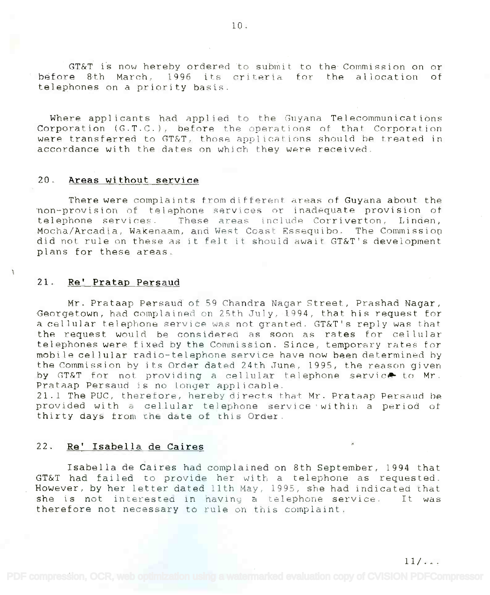GT&T is now hereby ordered to submit to the Commission on or before 8th March, 1996 its criteria for the allocation of before 8th March, 1996 its criteria for the allocation of telephones on a priority basis. telephones on a priority basis.

Where applicants had applied to the Guyana Telecommunications Where applicants had applied to the Gllyana Telecommunications Corporation (G.T.C.), before the operations of that Corporation Corporation *(G.T.C.),* before the operat ions of: thi'lt Corporation were transferred to GT&T, those applications should be treated in were transferred to GT&T, those applications should be treated in accordance with the dates on which they were received. accordance with the dates on which they were received.

## 20. Areas without service

There were complaints from different areas of Guyana about the non-provision of telephone services or inadequate provision of telephone services. These areas include Corriverton, Linden, Mocha/Arcadia, Wakenaam, and West Coast Essequibo. The Commission Mocha/Arcadia, Wakenaam, and West Coast Essequibo. The Commissiot) did not rule on these as it felt it should await GT&T's development plans for these areas. plans for these areas.

## 21. Re' Pratap Persaud

Mr. Prataap Persaud of 59 Chandra Nagar Street, Prashad Nagar, Mr. Prataap Persaud of 59 Chandra Nagar Street, Prashad Nagar, Georgetown, had complained on 25th July, 1994, that his request for Georgetown, had complained on ?Sth July, 1994, that his request for a cellular telephone service was not granted. GT&T's reply was that the request would be considered as soon as rates for cellular the request would be considered as soon as rates for cellular telephones were fixed by the Commission. Since, temporary rates for mobile cellular radio-telephone service have now been determined by mobi Ie cellular radio-telephone service have now been determined by the Commission by its Order dated 24th June, 1995, the reason given the Commission by its Order dated 24th June, 1995, the reason given by GT&T for not providing a cellular telephone service to Mr. Prataap Persaud is no longer applicable.

21.1 The PUC, therefore, hereby directs that Mr. Prataap Persaud be provided with a cellular telephone service within a period of thirty days from the date of this Order.

## 22. Re' Isabella de Caires

Isabella de Caires had complained on 8th September, 1994 that Isabella de Caires had complained on 8th September, 1994 that GT&T had failed to provide her with a telephone as requested. GT&T had failed to provide her with a telephone as requested. However, by her letter dated 11th May, 1995, she had indicated that However, by her letter dated 11th May, 1995. she had indicated that she is not interested in having atelephone service. It was she is not interested in having a celephone service. It was therefore not necessary to rule on this complaint. therefore not necessary to rule on this complaint.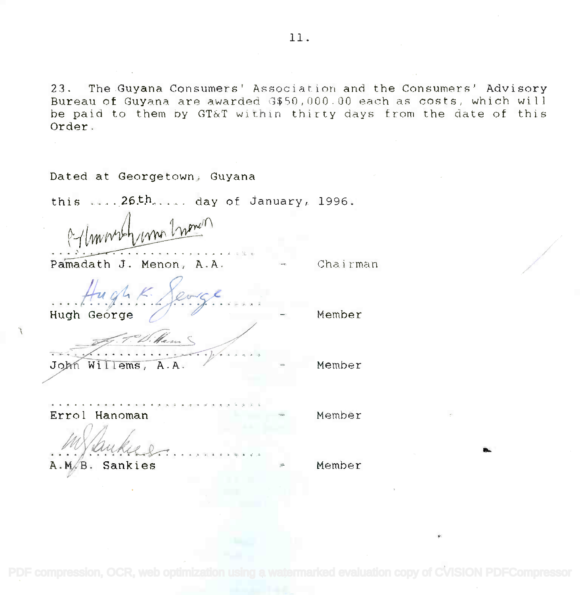23. The Guyana Consumers' Association and the Consumers' Advisory 23. The Guyana Consumers' Association and the Consumers' Advisory Bureau of Guyana are awarded G\$50,000.00 each as costs, which will Bureau of Guyana are awarded G\$50,OOO.OO each as costs. which will be paid to them by GT&T within thirty days from the date of this be paid to them by GT&T within thirty days from the date of this Order. Order.

| Dated at Georgetown, Guyana              |          |
|------------------------------------------|----------|
| this $\ldots$ 26th day of January, 1996. |          |
| extraordy una Inonein                    |          |
| Pamadath J. Menon, A.A.                  | Chairman |
| tught Serge<br>Hugh George               | Member   |
|                                          |          |
| William<br>John Willems, A.A.            | Member   |
| Errol Hanoman                            | Member   |
| Sankies<br>в                             | Member   |

[PDF compression, OCR, web optimization using a watermarked evaluation copy of CVISION PDFCompressor](http://www.cvisiontech.com)

O..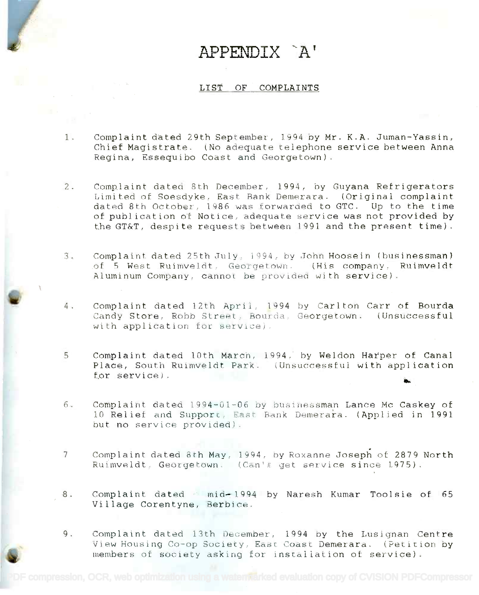# APPENDIX A'

#### LIST OF COMPLAINTS

- 1. Complaint dated 29th September, 1994 by Mr. K.A. Juman-Yassin, 1. Complaint dated 29th September, 1994 by Mr. K.A. Juman-Yassin, Chief Magistrate. (No adequate telephone service between Anna Chief Magistrate. (No adequate telephone service between Anna Regina, Essequibo Coast and Georgetown). Regina. Essequibo COdSt and Georgetown).
- 2. Complaint dated 8th December, 1994, by Guyana Refrigerators 2. Complaint dated 8th December, 1994, by Guyana Refrigerators Limited of Soesdyke, East Bank Demerara. (Original complaint Limited of Soesdyke, East Bank Demerara. (Original complaint dated 8th October, 1986 was forwarded to GTC. Up to the time dated 8th October, 1986 was forwarded to GTC. Up to the time of publication of Notice, adequate service was not provided by of publication of Notice, adequate service was not provided by the GT&T, despite requests between 1991 and the present time).
- 3. Complaint dated 25th July, 1994, by John Hoosein (businessman) of 5 West Ruimveldt, Georgetown. (His company, Ruimveldt Aluminum Company, cannot be provided with service). Aluminum Company, cannot be provided with service).
- 4. Complaint dated 12th April, 1994 by Carlton Carr of Bourda Candy Store, Robb Street, Bourda, Georgetown. (Unsuccessful with application for service). with application for serVIce).
- 5 Complaint dated 10th March, 1994, by Weldon Hatper of Canal Complaint dated lOth March, 1994, by Weldon Hatper of Canal Place, South Ruimveldt Park. (Unsuccessful with application Place. South Ruimveldt Park. (Unsuccessful with application riace, south Ruimveid<br>for s<mark>er</mark>vice).
- 6. Complaint dated 1994-01-06 by businessman Lance Mc Caskey of 6. Complaint dated 1994-01-06 by businessman Lance Mc Caskey of 10 Relief and Support, East Bank Demerara. (Applied in 1991 but no service provided). but no service provided).
- <sup>7</sup> Complaint dated 8th May, 1994, by Roxanne Joseph of 2879 North 7 Complaint dated 8th May, 1994. oy Roxanne Joseph of 2879 North Ruimveldt, Georgetown. (Can't get service since 1975). Ruimveldt, Georgetown. (Can't get service since 1975).
- 8. Complaint dated mid-1994 by Naresh Kumar Toolsie of 65 Village Corentyne, Berbice. Village Corentyne. Berbice.
- 9. Complaint dated 13th December, 1994 by the Lusignan Centre View Housing Co-op Society, East Coast Demerara. (Petition by members of society asking for installation of service).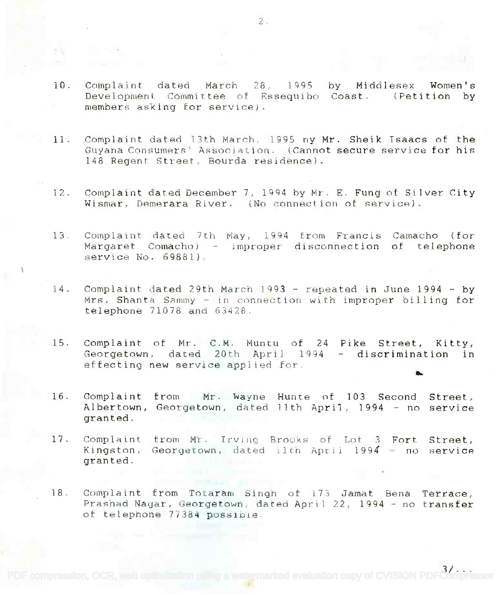- 10. Complaint dated March 28, 1995 by Middlesex Women's Development Committee of Essequibo Coast. (Petition by Development Committee of Essequibo Coast. (Petition by members asking for service). by Middlesex Women's
- 11. .Complaint dated 13th March, 1995 ny Mr. Sheik Isaacs of the 11. Complaint dated 13th Hareh, 1995 ny Mr. Sheik Isaacs of the Guyana Consumers<sup>+</sup> Association. (Cannot secure service for his 148. Regent Street, Bourda residence). 148. Regent Street, Bourda residence).
- 12. Complaint dated December 7, 1994 by Mr. E. Fung of Silver City  $W$ ismar, Demerara River. (No connection of service).
- 13. Complaint dated 7th May, 1994 from Francis Camacho (for Margaret Comacho) - improper disconnection of telephone service No. 69881). service No. 69881).
- 14. Complaint dated 29th March 1993 repeated in June 1994 by Mrs. Shanta Sammy - in connection with improper billing for telephone 71078 and 63428. telephone 71078 and 63428.
- 15. Complaint of Mr. C.M. Muntu of 24 Pike Street, Kitty, Complaint of Mr. C.M. Muntu of 24 Pike Street, Kitty, Georgetown, dated 20th April 1994 - discrimination in effecting new service applied for.
- 16. Complaint from Mr. Wayne Hunte of 103 Second Street, Albertown, Georgetown, dated 11th April, 1994 - no service granted. granted.
- 17. Complaint from Mr. Irving Brooks of Lot 3 Fort Street, Kingston, Georgetown, dated llth April 1994 - no service granted. granted. Street,
- 18. Complaint from Totaram Singh of 173 Jamat Bena Terrace, Prashad Nagar, Georgetown, dated April 22, 1994 - no transfer of telephone 77384 possinie. of telephone 77384 POSS1018.

3/. . .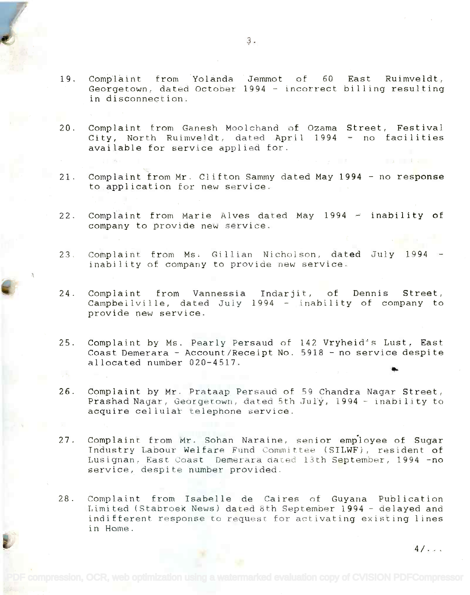- 19. Complaint from Yolanda Jemmot of 60 East Ruimveldt, Georgetown, dated October 1994 - incorrect billing resulting in disconnection. in disconnection.
- 20. Complaint from Ganesh Moolchand of Ozama Street, Festival Street, Festival Complaint from Ganesh Moolchand of Ozama City, North Ruimveldt, dated April 1994 - no facilities available for service applied for. available for service applied for.
- 21. Complaint from Mr. Clifton Sammy dated May 1994 no res<mark>ponse</mark> to application for new service. to application for new service.
- 22. Complaint from Marie Alves dated May 1994  $\pm$  inability of company to provide new service. company to provide new service.
- 23. Complaint from Ms. Gillian Nicholson, dated July 1994 23. Complaint from Ms. Gillian Nicholson, dated July 1994 inability of company to provide new service.
- 24. Complaint from Vannessia Indarjit, of Dennis Street, Complaint from Vannessia Indarjit, of Dennis Street, Campbellville, dated July 1994 - inability of company to provide new service. provide new service.
- 25. Complaint by Ms. Pearly Persaud of 142 Vryheid's Lust, East Coast Demerara - Account/Receipt No. 5918 - no service despite allocated number 020-4517. allocated number 020-4517. es,
- 26. Complaint by Mr. Prataap Persaud of 59 Chandra Nagar. Street, 26. Complaint by Mr. Prataap Persaud of 59 Chandra Nagar Street, Prashad Nagar, Georgetown, dated 5th July, 1994 - inability to acquire cellular telephone service. acquire cellulat telephone service.
- 27. Complaint from Mr. Sohan Naraine, senior employee of Sugar 27. Complaint. from Mr. Sohan Naraine. senior emp'loyee of Sugar Industry Labour Welfare Fund Committee (SILWF), resident of Lusignan, East Coast Demerara dated 13th September, 1994 -no Lusignan, East Coast Demeraradatea 13th September, 1994 -no service, despite number provided. service, despite number prOVided.
- 28. Complaint from Isabelle de Caires of Guyana Publication 28. Complaint from Isabelle de Caires of Guyana Publication Limited (Stabroek News) dated 8th September 1994 - delayed and indifferent response to request for activating existing lines indifferent response to request for activating existing lines in Home. in Home.

 $4/\sqrt{2}$